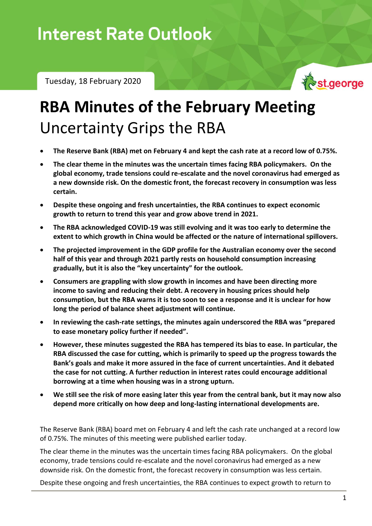Tuesday, 18 February 2020



## **RBA Minutes of the February Meeting** Uncertainty Grips the RBA

- **The Reserve Bank (RBA) met on February 4 and kept the cash rate at a record low of 0.75%.**
- **The clear theme in the minutes was the uncertain times facing RBA policymakers. On the global economy, trade tensions could re-escalate and the novel coronavirus had emerged as a new downside risk. On the domestic front, the forecast recovery in consumption was less certain.**
- **Despite these ongoing and fresh uncertainties, the RBA continues to expect economic growth to return to trend this year and grow above trend in 2021.**
- **The RBA acknowledged COVID-19 was still evolving and it was too early to determine the extent to which growth in China would be affected or the nature of international spillovers.**
- **The projected improvement in the GDP profile for the Australian economy over the second half of this year and through 2021 partly rests on household consumption increasing gradually, but it is also the "key uncertainty" for the outlook.**
- **Consumers are grappling with slow growth in incomes and have been directing more income to saving and reducing their debt. A recovery in housing prices should help consumption, but the RBA warns it is too soon to see a response and it is unclear for how long the period of balance sheet adjustment will continue.**
- **In reviewing the cash-rate settings, the minutes again underscored the RBA was "prepared to ease monetary policy further if needed".**
- **However, these minutes suggested the RBA has tempered its bias to ease. In particular, the RBA discussed the case for cutting, which is primarily to speed up the progress towards the Bank's goals and make it more assured in the face of current uncertainties. And it debated the case for not cutting. A further reduction in interest rates could encourage additional borrowing at a time when housing was in a strong upturn.**
- **We still see the risk of more easing later this year from the central bank, but it may now also depend more critically on how deep and long-lasting international developments are.**

The Reserve Bank (RBA) board met on February 4 and left the cash rate unchanged at a record low of 0.75%. The minutes of this meeting were published earlier today.

The clear theme in the minutes was the uncertain times facing RBA policymakers. On the global economy, trade tensions could re-escalate and the novel coronavirus had emerged as a new downside risk. On the domestic front, the forecast recovery in consumption was less certain.

Despite these ongoing and fresh uncertainties, the RBA continues to expect growth to return to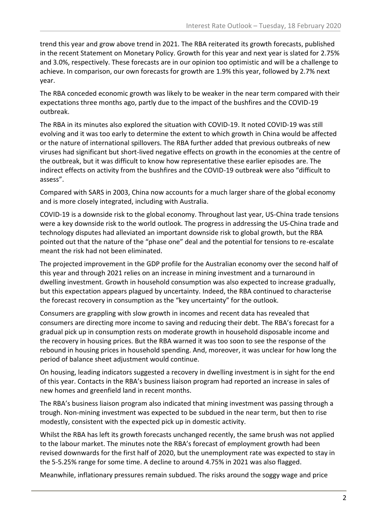trend this year and grow above trend in 2021. The RBA reiterated its growth forecasts, published in the recent Statement on Monetary Policy. Growth for this year and next year is slated for 2.75% and 3.0%, respectively. These forecasts are in our opinion too optimistic and will be a challenge to achieve. In comparison, our own forecasts for growth are 1.9% this year, followed by 2.7% next year.

The RBA conceded economic growth was likely to be weaker in the near term compared with their expectations three months ago, partly due to the impact of the bushfires and the COVID-19 outbreak.

The RBA in its minutes also explored the situation with COVID-19. It noted COVID-19 was still evolving and it was too early to determine the extent to which growth in China would be affected or the nature of international spillovers. The RBA further added that previous outbreaks of new viruses had significant but short-lived negative effects on growth in the economies at the centre of the outbreak, but it was difficult to know how representative these earlier episodes are. The indirect effects on activity from the bushfires and the COVID-19 outbreak were also "difficult to assess".

Compared with SARS in 2003, China now accounts for a much larger share of the global economy and is more closely integrated, including with Australia.

COVID-19 is a downside risk to the global economy. Throughout last year, US-China trade tensions were a key downside risk to the world outlook. The progress in addressing the US-China trade and technology disputes had alleviated an important downside risk to global growth, but the RBA pointed out that the nature of the "phase one" deal and the potential for tensions to re-escalate meant the risk had not been eliminated.

The projected improvement in the GDP profile for the Australian economy over the second half of this year and through 2021 relies on an increase in mining investment and a turnaround in dwelling investment. Growth in household consumption was also expected to increase gradually, but this expectation appears plagued by uncertainty. Indeed, the RBA continued to characterise the forecast recovery in consumption as the "key uncertainty" for the outlook.

Consumers are grappling with slow growth in incomes and recent data has revealed that consumers are directing more income to saving and reducing their debt. The RBA's forecast for a gradual pick up in consumption rests on moderate growth in household disposable income and the recovery in housing prices. But the RBA warned it was too soon to see the response of the rebound in housing prices in household spending. And, moreover, it was unclear for how long the period of balance sheet adjustment would continue.

On housing, leading indicators suggested a recovery in dwelling investment is in sight for the end of this year. Contacts in the RBA's business liaison program had reported an increase in sales of new homes and greenfield land in recent months.

The RBA's business liaison program also indicated that mining investment was passing through a trough. Non-mining investment was expected to be subdued in the near term, but then to rise modestly, consistent with the expected pick up in domestic activity.

Whilst the RBA has left its growth forecasts unchanged recently, the same brush was not applied to the labour market. The minutes note the RBA's forecast of employment growth had been revised downwards for the first half of 2020, but the unemployment rate was expected to stay in the 5-5.25% range for some time. A decline to around 4.75% in 2021 was also flagged.

Meanwhile, inflationary pressures remain subdued. The risks around the soggy wage and price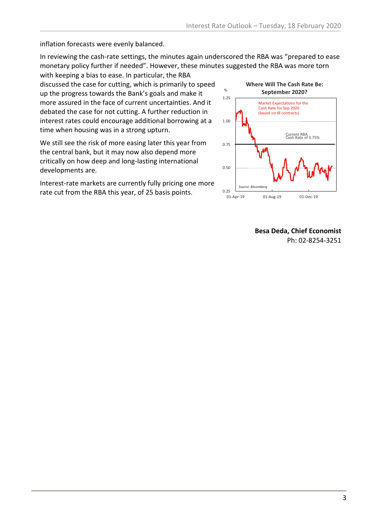inflation forecasts were evenly balanced.

In reviewing the cash-rate settings, the minutes again underscored the RBA was "prepared to ease monetary policy further if needed". However, these minutes suggested the RBA was more torn

with keeping a bias to ease. In particular, the RBA discussed the case for cutting, which is primarily to speed up the progress towards the Bank's goals and make it more assured in the face of current uncertainties. And it debated the case for not cutting. A further reduction in interest rates could encourage additional borrowing at a time when housing was in a strong upturn.

We still see the risk of more easing later this year from the central bank, but it may now also depend more critically on how deep and long-lasting international developments are.

Interest-rate markets are currently fully pricing one more rate cut from the RBA this year, of 25 basis points.



**Besa Deda, Chief Economist** Ph: 02-8254-3251